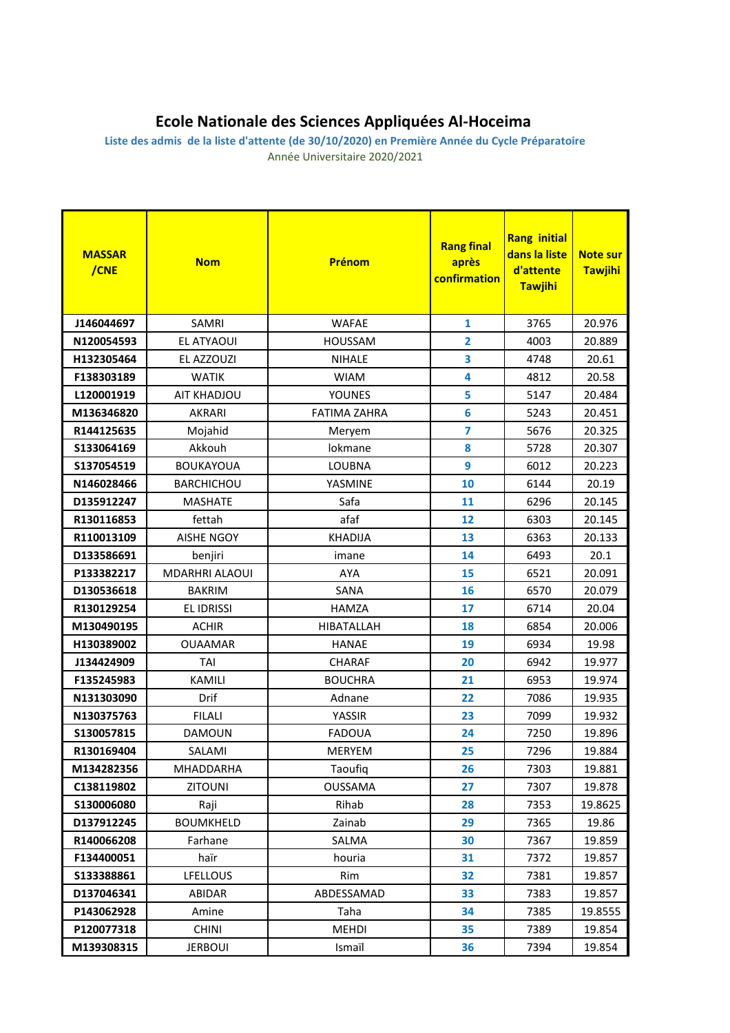## **Ecole Nationale des Sciences Appliquées Al-Hoceima**

**Liste des admis de la liste d'attente (de 30/10/2020) en Première Année du Cycle Préparatoire** Année Universitaire 2020/2021

| <b>MASSAR</b><br>/CNE | <b>Nom</b>            | <b>Prénom</b>       | <b>Rang final</b><br>après<br>confirmation | <b>Rang initial</b><br>dans la liste<br>d'attente<br><b>Tawjihi</b> | <b>Note sur</b><br><b>Tawjihi</b> |
|-----------------------|-----------------------|---------------------|--------------------------------------------|---------------------------------------------------------------------|-----------------------------------|
| J146044697            | SAMRI                 | <b>WAFAE</b>        | $\mathbf{1}$                               | 3765                                                                | 20.976                            |
| N120054593            | EL ATYAOUI            | <b>HOUSSAM</b>      | 2                                          | 4003                                                                | 20.889                            |
| H132305464            | EL AZZOUZI            | <b>NIHALE</b>       | 3                                          | 4748                                                                | 20.61                             |
| F138303189            | <b>WATIK</b>          | <b>WIAM</b>         | 4                                          | 4812                                                                | 20.58                             |
| L120001919            | AIT KHADJOU           | <b>YOUNES</b>       | 5                                          | 5147                                                                | 20.484                            |
| M136346820            | <b>AKRARI</b>         | <b>FATIMA ZAHRA</b> | $6\phantom{a}$                             | 5243                                                                | 20.451                            |
| R144125635            | Mojahid               | Meryem              | $\overline{\mathbf{z}}$                    | 5676                                                                | 20.325                            |
| S133064169            | Akkouh                | lokmane             | 8                                          | 5728                                                                | 20.307                            |
| S137054519            | <b>BOUKAYOUA</b>      | <b>LOUBNA</b>       | 9                                          | 6012                                                                | 20.223                            |
| N146028466            | <b>BARCHICHOU</b>     | YASMINE             | 10                                         | 6144                                                                | 20.19                             |
| D135912247            | <b>MASHATE</b>        | Safa                | 11                                         | 6296                                                                | 20.145                            |
| R130116853            | fettah                | afaf                | 12                                         | 6303                                                                | 20.145                            |
| R110013109            | <b>AISHE NGOY</b>     | <b>KHADIJA</b>      | 13                                         | 6363                                                                | 20.133                            |
| D133586691            | benjiri               | imane               | 14                                         | 6493                                                                | 20.1                              |
| P133382217            | <b>MDARHRI ALAOUI</b> | <b>AYA</b>          | 15                                         | 6521                                                                | 20.091                            |
| D130536618            | <b>BAKRIM</b>         | SANA                | 16                                         | 6570                                                                | 20.079                            |
| R130129254            | EL IDRISSI            | <b>HAMZA</b>        | 17                                         | 6714                                                                | 20.04                             |
| M130490195            | <b>ACHIR</b>          | <b>HIBATALLAH</b>   | 18                                         | 6854                                                                | 20.006                            |
| H130389002            | <b>OUAAMAR</b>        | <b>HANAE</b>        | 19                                         | 6934                                                                | 19.98                             |
| J134424909            | TAI                   | CHARAF              | 20                                         | 6942                                                                | 19.977                            |
| F135245983            | KAMILI                | <b>BOUCHRA</b>      | 21                                         | 6953                                                                | 19.974                            |
| N131303090            | Drif                  | Adnane              | 22                                         | 7086                                                                | 19.935                            |
| N130375763            | <b>FILALI</b>         | YASSIR              | 23                                         | 7099                                                                | 19.932                            |
| S130057815            | <b>DAMOUN</b>         | <b>FADOUA</b>       | 24                                         | 7250                                                                | 19.896                            |
| R130169404            | SALAMI                | <b>MERYEM</b>       | 25                                         | 7296                                                                | 19.884                            |
| M134282356            | MHADDARHA             | Taoufiq             | 26                                         | 7303                                                                | 19.881                            |
| C138119802            | ZITOUNI               | <b>OUSSAMA</b>      | 27                                         | 7307                                                                | 19.878                            |
| \$130006080           | Raji                  | Rihab               | 28                                         | 7353                                                                | 19.8625                           |
| D137912245            | <b>BOUMKHELD</b>      | Zainab              | 29                                         | 7365                                                                | 19.86                             |
| R140066208            | Farhane               | SALMA               | 30                                         | 7367                                                                | 19.859                            |
| F134400051            | haïr                  | houria              | 31                                         | 7372                                                                | 19.857                            |
| \$133388861           | <b>LFELLOUS</b>       | Rim                 | 32                                         | 7381                                                                | 19.857                            |
| D137046341            | <b>ABIDAR</b>         | ABDESSAMAD          | 33                                         | 7383                                                                | 19.857                            |
| P143062928            | Amine                 | Taha                | 34                                         | 7385                                                                | 19.8555                           |
| P120077318            | <b>CHINI</b>          | MEHDI               | 35                                         | 7389                                                                | 19.854                            |
| M139308315            | <b>JERBOUI</b>        | Ismaïl              | 36                                         | 7394                                                                | 19.854                            |